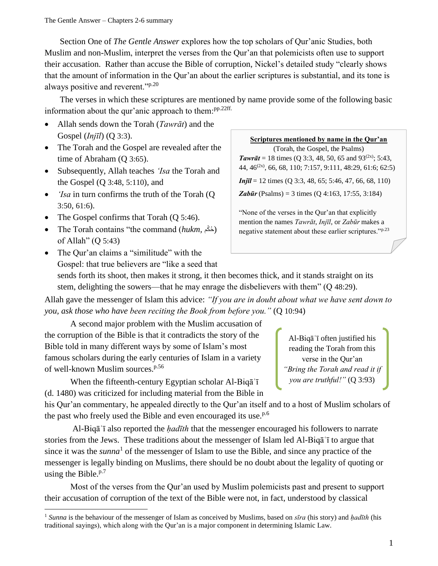Section One of *The Gentle Answer* explores how the top scholars of Qur'anic Studies, both Muslim and non-Muslim, interpret the verses from the Qur'an that polemicists often use to support their accusation. Rather than accuse the Bible of corruption, Nickel's detailed study "clearly shows that the amount of information in the Qur'an about the earlier scriptures is substantial, and its tone is always positive and reverent."<sup>p.20</sup>

The verses in which these scriptures are mentioned by name provide some of the following basic information about the qur'anic approach to them:<sup>pp.22ff.</sup>

- Allah sends down the Torah (*Tawrāt*) and the Gospel (*Injīl*) (Q 3:3).
- The Torah and the Gospel are revealed after the time of Abraham (Q 3:65).
- Subsequently, Allah teaches *'Isa* the Torah and the Gospel (Q 3:48, 5:110), and
- *'Isa* in turn confirms the truth of the Torah (Q) 3:50, 61:6).
- The Gospel confirms that Torah (Q 5:46).

l

• The Torah contains "the command (*hukm*, كُمْ) of Allah" (Q 5:43)

(Torah, the Gospel, the Psalms) **Tawrāt** = 18 times (Q 3:3, 48, 50, 65 and 93<sup>(2x)</sup>; 5:43,

**Scriptures mentioned by name in the Qur'an**

44, 46(2x), 66, 68, 110; 7:157, 9:111, 48:29, 61:6; 62:5)

*Injīl* = 12 times (Q 3:3, 48, 65; 5:46, 47, 66, 68, 110)

*Zabūr* (Psalms) = 3 times (Q 4:163, 17:55, 3:184)

"None of the verses in the Qur'an that explicitly mention the names *Tawrāt*, *Injīl*, or *Zabūr* makes a negative statement about these earlier scriptures."p.23

• The Qur'an claims a "similitude" with the Gospel: that true believers are "like a seed that sends forth its shoot, then makes it strong, it then becomes thick, and it stands straight on its stem, delighting the sowers—that he may enrage the disbelievers with them" (Q 48:29).

Allah gave the messenger of Islam this advice: *"If you are in doubt about what we have sent down to you, ask those who have been reciting the Book from before you."* (Q 10:94)

A second major problem with the Muslim accusation of the corruption of the Bible is that it contradicts the story of the Bible told in many different ways by some of Islam's most famous scholars during the early centuries of Islam in a variety of well-known Muslim sources.p.56

When the fifteenth-century Egyptian scholar Al-Biqā<sup>'</sup>ī (d. 1480) was criticized for including material from the Bible in

his Qur'an commentary, he appealed directly to the Qur'an itself and to a host of Muslim scholars of the past who freely used the Bible and even encouraged its use. $P<sup>6</sup>$ 

Al-Biqāʿī also reported the *ḥadīth* that the messenger encouraged his followers to narrate stories from the Jews. These traditions about the messenger of Islam led Al-Biqāʿī to argue that since it was the *sunna*<sup>1</sup> of the messenger of Islam to use the Bible, and since any practice of the messenger is legally binding on Muslims, there should be no doubt about the legality of quoting or using the Bible. $P<sup>7</sup>$ 

Most of the verses from the Qur'an used by Muslim polemicists past and present to support their accusation of corruption of the text of the Bible were not, in fact, understood by classical

Al-Biqāʿī often justified his reading the Torah from this verse in the Qur'an *"Bring the Torah and read it if you are truthful!"* (Q 3:93)

<sup>&</sup>lt;sup>1</sup> Sunna is the behaviour of the messenger of Islam as conceived by Muslims, based on *sīra* (his story) and *hadīth* (his traditional sayings), which along with the Qur'an is a major component in determining Islamic Law.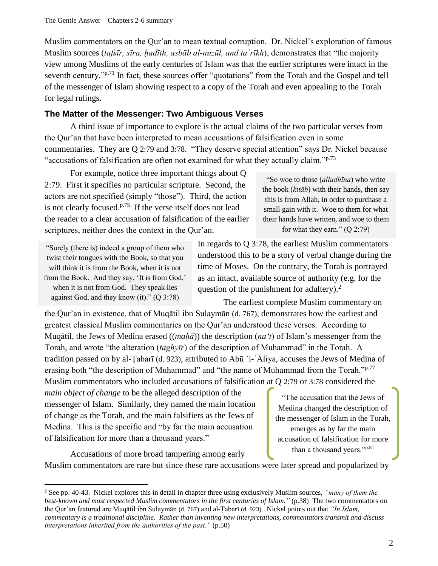Muslim commentators on the Qur'an to mean textual corruption. Dr. Nickel's exploration of famous Muslim sources (*tafsīr, sīra, ḥadīth, asbāb al-nuzūl, and taʾrīkh*), demonstrates that "the majority view among Muslims of the early centuries of Islam was that the earlier scriptures were intact in the seventh century."<sup>p.71</sup> In fact, these sources offer "quotations" from the Torah and the Gospel and tell of the messenger of Islam showing respect to a copy of the Torah and even appealing to the Torah for legal rulings.

## **The Matter of the Messenger: Two Ambiguous Verses**

A third issue of importance to explore is the actual claims of the two particular verses from the Qur'an that have been interpreted to mean accusations of falsification even in some commentaries. They are Q 2:79 and 3:78. "They deserve special attention" says Dr. Nickel because "accusations of falsification are often not examined for what they actually claim." $p^{73}$ 

For example, notice three important things about Q 2:79. First it specifies no particular scripture. Second, the actors are not specified (simply "those"). Third, the action is not clearly focused. $P<sup>.75</sup>$  If the verse itself does not lead the reader to a clear accusation of falsification of the earlier scriptures, neither does the context in the Qur'an.

"Surely (there is) indeed a group of them who twist their tongues with the Book, so that you will think it is from the Book, when it is not from the Book. And they say, 'It is from God,' when it is not from God. They speak lies against God, and they know (it)." (Q 3:78)

l

"So woe to those (*alladhīna*) who write the book (*kitāb*) with their hands, then say this is from Allah, in order to purchase a small gain with it. Woe to them for what their hands have written, and woe to them for what they earn." (Q 2:79)

In regards to Q 3:78, the earliest Muslim commentators understood this to be a story of verbal change during the time of Moses. On the contrary, the Torah is portrayed as an intact, available source of authority (e.g. for the question of the punishment for adultery). $^{2}$ 

The earliest complete Muslim commentary on the Qur'an in existence, that of Muqātil ibn Sulaymān (d. 767), demonstrates how the earliest and greatest classical Muslim commentaries on the Qur'an understood these verses. According to Muqātil, the Jews of Medina erased ((*maḥā*)) the description (*na't*) of Islam's messenger from the Torah, and wrote "the alteration (*taghyīr*) of the description of Muhammad" in the Torah. A tradition passed on by al-Ṭabarī (d. 923), attributed to Abū ʾl-ʿĀliya, accuses the Jews of Medina of erasing both "the description of Muhammad" and "the name of Muhammad from the Torah."<sup>p.77</sup> Muslim commentators who included accusations of falsification at Q 2:79 or 3:78 considered the

*main object of change* to be the alleged description of the messenger of Islam. Similarly, they named the main location of change as the Torah, and the main falsifiers as the Jews of Medina. This is the specific and "by far the main accusation of falsification for more than a thousand years."

"The accusation that the Jews of Medina changed the description of the messenger of Islam in the Torah, emerges as by far the main accusation of falsification for more than a thousand years."p.81

Accusations of more broad tampering among early Muslim commentators are rare but since these rare accusations were later spread and popularized by

<sup>2</sup> See pp. 40-43. Nickel explores this in detail in chapter three using exclusively Muslim sources, *"many of them the best-known and most respected Muslim commentators in the first centuries of Islam."* (p.38) The two commentators on the Qur'an featured are Muqātil ibn Sulaymān (d. 767) and al-Ṭabarī (d. 923). Nickel points out that *"In Islam, commentary is a traditional discipline. Rather than inventing new interpretations, commentators transmit and discuss interpretations inherited from the authorities of the past."* (p.50)